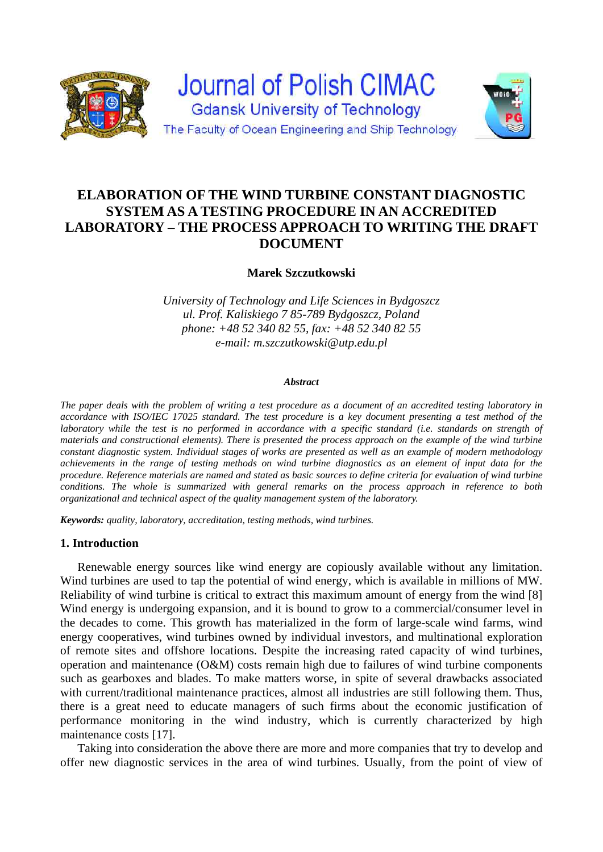

# **ELABORATION OF THE WIND TURBINE CONSTANT DIAGNOSTIC SYSTEM AS A TESTING PROCEDURE IN AN ACCREDITED LABORATORY – THE PROCESS APPROACH TO WRITING THE DRAFT DOCUMENT**

**Marek Szczutkowski** 

*University of Technology and Life Sciences in Bydgoszcz ul. Prof. Kaliskiego 7 85-789 Bydgoszcz, Poland phone: +48 52 340 82 55, fax: +48 52 340 82 55 e-mail: m.szczutkowski@utp.edu.pl* 

#### *Abstract*

*The paper deals with the problem of writing a test procedure as a document of an accredited testing laboratory in accordance with ISO/IEC 17025 standard. The test procedure is a key document presenting a test method of the laboratory while the test is no performed in accordance with a specific standard (i.e. standards on strength of materials and constructional elements). There is presented the process approach on the example of the wind turbine constant diagnostic system. Individual stages of works are presented as well as an example of modern methodology achievements in the range of testing methods on wind turbine diagnostics as an element of input data for the procedure. Reference materials are named and stated as basic sources to define criteria for evaluation of wind turbine conditions. The whole is summarized with general remarks on the process approach in reference to both organizational and technical aspect of the quality management system of the laboratory.*

*Keywords: quality, laboratory, accreditation, testing methods, wind turbines.* 

# **1. Introduction**

Renewable energy sources like wind energy are copiously available without any limitation. Wind turbines are used to tap the potential of wind energy, which is available in millions of MW. Reliability of wind turbine is critical to extract this maximum amount of energy from the wind [8] Wind energy is undergoing expansion, and it is bound to grow to a commercial/consumer level in the decades to come. This growth has materialized in the form of large-scale wind farms, wind energy cooperatives, wind turbines owned by individual investors, and multinational exploration of remote sites and offshore locations. Despite the increasing rated capacity of wind turbines, operation and maintenance (O&M) costs remain high due to failures of wind turbine components such as gearboxes and blades. To make matters worse, in spite of several drawbacks associated with current/traditional maintenance practices, almost all industries are still following them. Thus, there is a great need to educate managers of such firms about the economic justification of performance monitoring in the wind industry, which is currently characterized by high maintenance costs [17].

Taking into consideration the above there are more and more companies that try to develop and offer new diagnostic services in the area of wind turbines. Usually, from the point of view of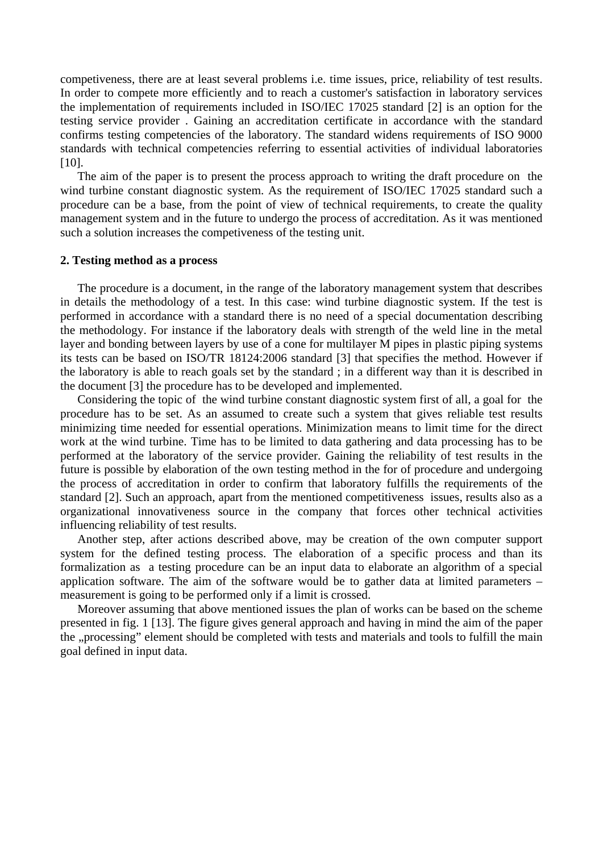competiveness, there are at least several problems i.e. time issues, price, reliability of test results. In order to compete more efficiently and to reach a customer's satisfaction in laboratory services the implementation of requirements included in ISO/IEC 17025 standard [2] is an option for the testing service provider . Gaining an accreditation certificate in accordance with the standard confirms testing competencies of the laboratory. The standard widens requirements of ISO 9000 standards with technical competencies referring to essential activities of individual laboratories [10].

The aim of the paper is to present the process approach to writing the draft procedure on the wind turbine constant diagnostic system. As the requirement of ISO/IEC 17025 standard such a procedure can be a base, from the point of view of technical requirements, to create the quality management system and in the future to undergo the process of accreditation. As it was mentioned such a solution increases the competiveness of the testing unit.

## **2. Testing method as a process**

The procedure is a document, in the range of the laboratory management system that describes in details the methodology of a test. In this case: wind turbine diagnostic system. If the test is performed in accordance with a standard there is no need of a special documentation describing the methodology. For instance if the laboratory deals with strength of the weld line in the metal layer and bonding between layers by use of a cone for multilayer M pipes in plastic piping systems its tests can be based on ISO/TR 18124:2006 standard [3] that specifies the method. However if the laboratory is able to reach goals set by the standard ; in a different way than it is described in the document [3] the procedure has to be developed and implemented.

Considering the topic of the wind turbine constant diagnostic system first of all, a goal for the procedure has to be set. As an assumed to create such a system that gives reliable test results minimizing time needed for essential operations. Minimization means to limit time for the direct work at the wind turbine. Time has to be limited to data gathering and data processing has to be performed at the laboratory of the service provider. Gaining the reliability of test results in the future is possible by elaboration of the own testing method in the for of procedure and undergoing the process of accreditation in order to confirm that laboratory fulfills the requirements of the standard [2]. Such an approach, apart from the mentioned competitiveness issues, results also as a organizational innovativeness source in the company that forces other technical activities influencing reliability of test results.

Another step, after actions described above, may be creation of the own computer support system for the defined testing process. The elaboration of a specific process and than its formalization as a testing procedure can be an input data to elaborate an algorithm of a special application software. The aim of the software would be to gather data at limited parameters – measurement is going to be performed only if a limit is crossed.

Moreover assuming that above mentioned issues the plan of works can be based on the scheme presented in fig. 1 [13]. The figure gives general approach and having in mind the aim of the paper the "processing" element should be completed with tests and materials and tools to fulfill the main goal defined in input data.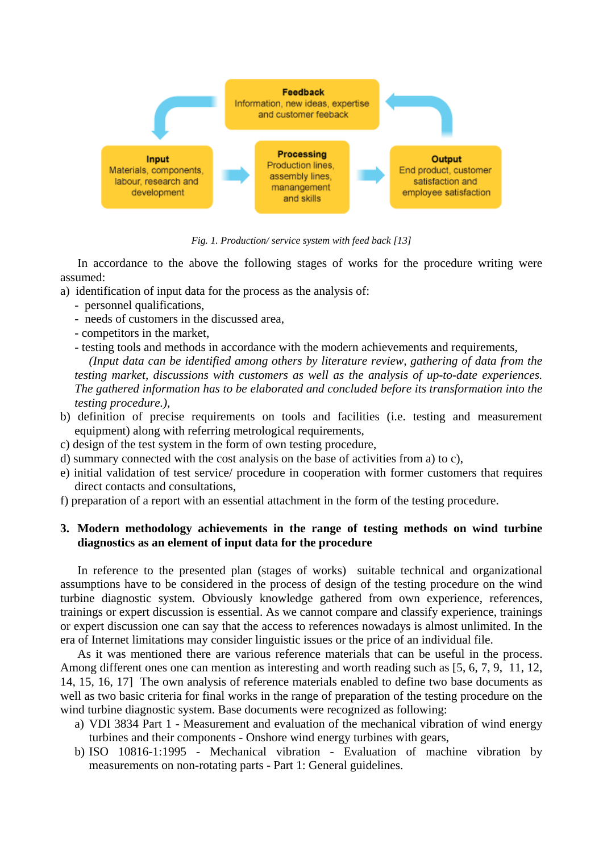

*Fig. 1. Production/ service system with feed back [13]* 

In accordance to the above the following stages of works for the procedure writing were assumed:

- a) identification of input data for the process as the analysis of:
	- personnel qualifications,
	- needs of customers in the discussed area,
	- competitors in the market,
	- testing tools and methods in accordance with the modern achievements and requirements,

*(Input data can be identified among others by literature review, gathering of data from the testing market, discussions with customers as well as the analysis of up-to-date experiences. The gathered information has to be elaborated and concluded before its transformation into the testing procedure.),* 

- b) definition of precise requirements on tools and facilities (i.e. testing and measurement equipment) along with referring metrological requirements,
- c) design of the test system in the form of own testing procedure,
- d) summary connected with the cost analysis on the base of activities from a) to c),
- e) initial validation of test service/ procedure in cooperation with former customers that requires direct contacts and consultations,
- f) preparation of a report with an essential attachment in the form of the testing procedure.

# **3. Modern methodology achievements in the range of testing methods on wind turbine diagnostics as an element of input data for the procedure**

In reference to the presented plan (stages of works) suitable technical and organizational assumptions have to be considered in the process of design of the testing procedure on the wind turbine diagnostic system. Obviously knowledge gathered from own experience, references, trainings or expert discussion is essential. As we cannot compare and classify experience, trainings or expert discussion one can say that the access to references nowadays is almost unlimited. In the era of Internet limitations may consider linguistic issues or the price of an individual file.

As it was mentioned there are various reference materials that can be useful in the process. Among different ones one can mention as interesting and worth reading such as [5, 6, 7, 9, 11, 12, 14, 15, 16, 17] The own analysis of reference materials enabled to define two base documents as well as two basic criteria for final works in the range of preparation of the testing procedure on the wind turbine diagnostic system. Base documents were recognized as following:

- a) VDI 3834 Part 1 Measurement and evaluation of the mechanical vibration of wind energy turbines and their components - Onshore wind energy turbines with gears,
- b) ISO 10816-1:1995 Mechanical vibration Evaluation of machine vibration by measurements on non-rotating parts - Part 1: General guidelines.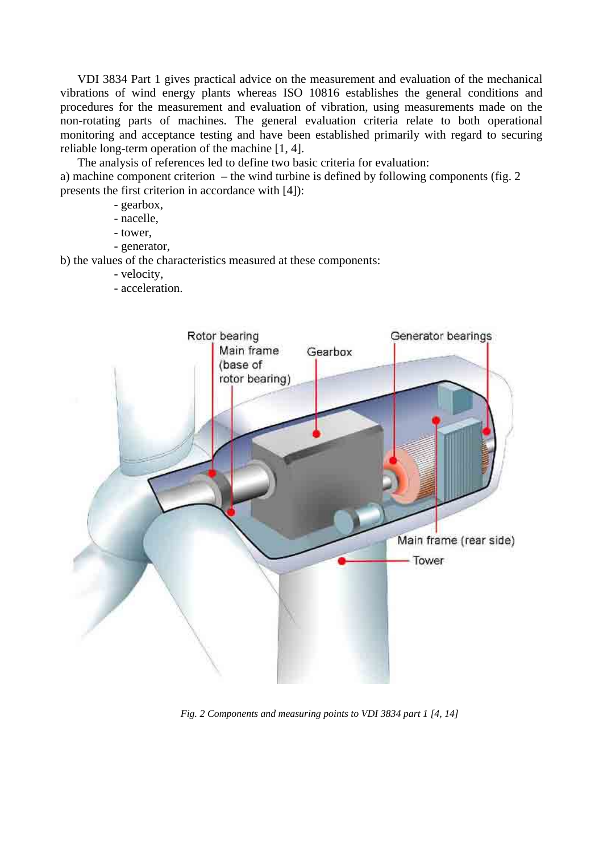VDI 3834 Part 1 gives practical advice on the measurement and evaluation of the mechanical vibrations of wind energy plants whereas ISO 10816 establishes the general conditions and procedures for the measurement and evaluation of vibration, using measurements made on the non-rotating parts of machines. The general evaluation criteria relate to both operational monitoring and acceptance testing and have been established primarily with regard to securing reliable long-term operation of the machine [1, 4].

The analysis of references led to define two basic criteria for evaluation:

a) machine component criterion – the wind turbine is defined by following components (fig. 2 presents the first criterion in accordance with [4]):

- gearbox,
- nacelle,
- tower,
- generator,

b) the values of the characteristics measured at these components:

- velocity,
- acceleration.



*Fig. 2 Components and measuring points to VDI 3834 part 1 [4, 14]*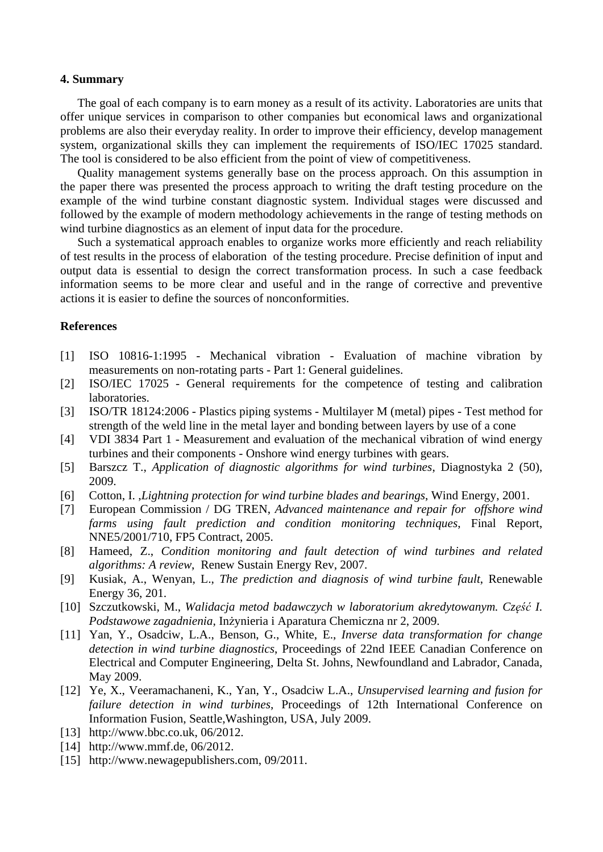#### **4. Summary**

The goal of each company is to earn money as a result of its activity. Laboratories are units that offer unique services in comparison to other companies but economical laws and organizational problems are also their everyday reality. In order to improve their efficiency, develop management system, organizational skills they can implement the requirements of ISO/IEC 17025 standard. The tool is considered to be also efficient from the point of view of competitiveness.

Quality management systems generally base on the process approach. On this assumption in the paper there was presented the process approach to writing the draft testing procedure on the example of the wind turbine constant diagnostic system. Individual stages were discussed and followed by the example of modern methodology achievements in the range of testing methods on wind turbine diagnostics as an element of input data for the procedure.

Such a systematical approach enables to organize works more efficiently and reach reliability of test results in the process of elaboration of the testing procedure. Precise definition of input and output data is essential to design the correct transformation process. In such a case feedback information seems to be more clear and useful and in the range of corrective and preventive actions it is easier to define the sources of nonconformities.

## **References**

- [1] ISO 10816-1:1995 Mechanical vibration Evaluation of machine vibration by measurements on non-rotating parts - Part 1: General guidelines.
- [2] ISO/IEC 17025 General requirements for the competence of testing and calibration laboratories.
- [3] ISO/TR 18124:2006 Plastics piping systems Multilayer M (metal) pipes Test method for strength of the weld line in the metal layer and bonding between layers by use of a cone
- [4] VDI 3834 Part 1 Measurement and evaluation of the mechanical vibration of wind energy turbines and their components - Onshore wind energy turbines with gears.
- [5] Barszcz T., *Application of diagnostic algorithms for wind turbines*, Diagnostyka 2 (50), 2009.
- [6] Cotton, I. ,*Lightning protection for wind turbine blades and bearings*, Wind Energy, 2001.
- [7] European Commission / DG TREN, *Advanced maintenance and repair for offshore wind farms using fault prediction and condition monitoring techniques*, Final Report, NNE5/2001/710, FP5 Contract, 2005.
- [8] Hameed, Z., *Condition monitoring and fault detection of wind turbines and related algorithms: A review*, Renew Sustain Energy Rev, 2007.
- [9] Kusiak, A., Wenyan, L., *The prediction and diagnosis of wind turbine fault*, Renewable Energy 36, 201.
- [10] Szczutkowski, M., *Walidacja metod badawczych w laboratorium akredytowanym. Część I. Podstawowe zagadnienia*, Inżynieria i Aparatura Chemiczna nr 2, 2009.
- [11] Yan, Y., Osadciw, L.A., Benson, G., White, E., *Inverse data transformation for change detection in wind turbine diagnostics*, Proceedings of 22nd IEEE Canadian Conference on Electrical and Computer Engineering, Delta St. Johns, Newfoundland and Labrador, Canada, May 2009.
- [12] Ye, X., Veeramachaneni, K., Yan, Y., Osadciw L.A., *Unsupervised learning and fusion for failure detection in wind turbines*, Proceedings of 12th International Conference on Information Fusion, Seattle,Washington, USA, July 2009.
- [13] http://www.bbc.co.uk, 06/2012.
- [14] http://www.mmf.de, 06/2012.
- [15] http://www.newagepublishers.com, 09/2011.